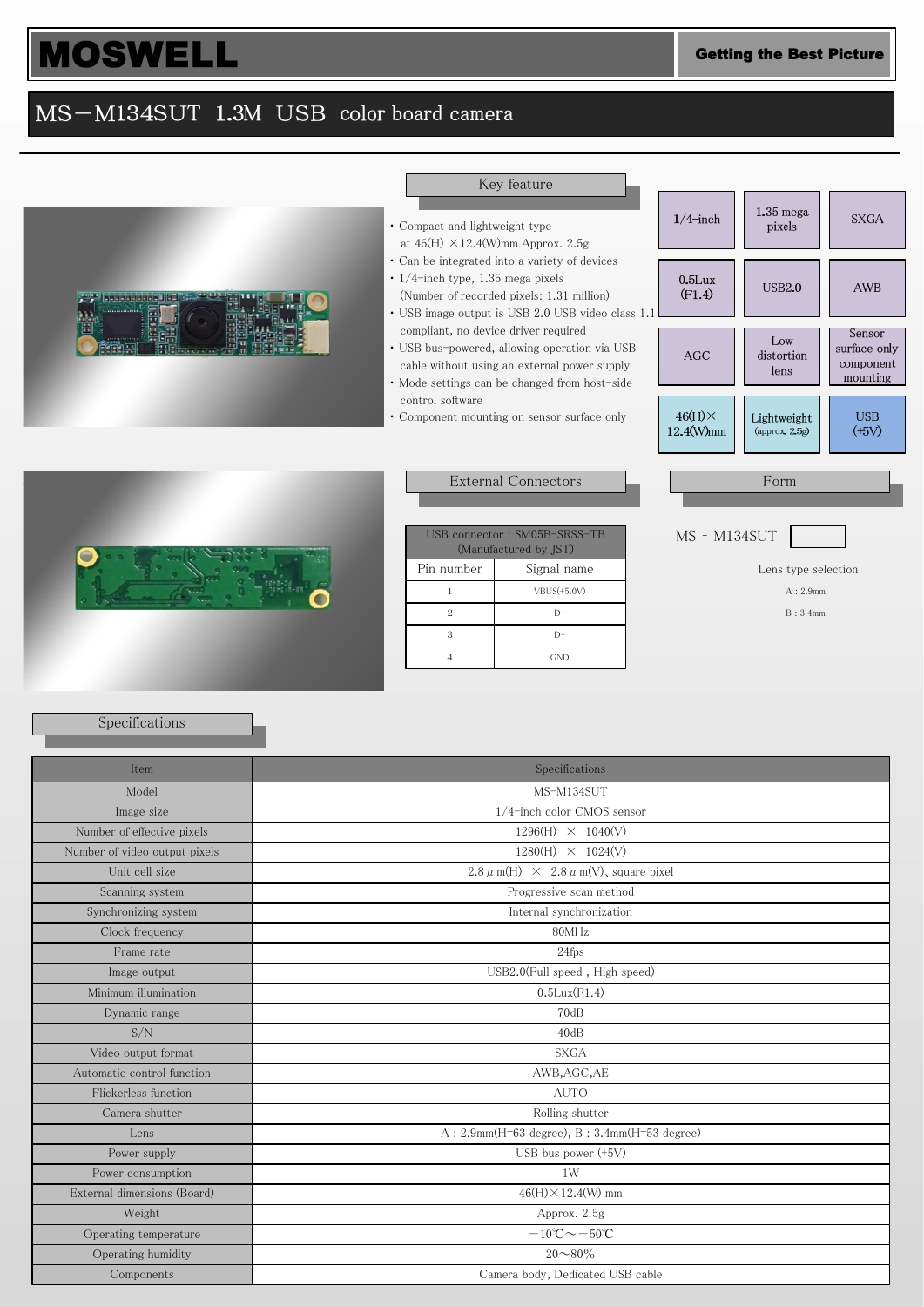## **MOSWELL** Getting the Best Picture

### MS-M134SUT 1.3M USB color board camera



#### Key feature

- ・ Compact and lightweight type
- at  $46(H) \times 12.4(W)$ mm Approx. 2.5g ・ Can be integrated into a variety of devices
- ・ 1/4-inch type, 1.35 mega pixels (Number of recorded pixels: 1.31 million)
- ・ USB image output is USB 2.0 USB video class 1.1
- compliant, no device driver required ・ USB bus-powered, allowing operation via USB
- cable without using an external power supply ・ Mode settings can be changed from host-side control software
- ・ Component mounting on sensor surface only





#### External Connectors

| USB connector: SM05B-SRSS-TB<br>(Manufactured by JST) |  |  |  |  |
|-------------------------------------------------------|--|--|--|--|
| Signal name                                           |  |  |  |  |
| $VBUS(+5.0V)$                                         |  |  |  |  |
|                                                       |  |  |  |  |
| D+                                                    |  |  |  |  |
| GND                                                   |  |  |  |  |
|                                                       |  |  |  |  |

| Lens type selection |  |  |  |  |
|---------------------|--|--|--|--|
|---------------------|--|--|--|--|

A : 2.9mm

|  | B: 3.4mm |
|--|----------|
|  |          |

### Specifications

| Item                          | Specifications                                       |  |
|-------------------------------|------------------------------------------------------|--|
| Model                         | MS-M134SUT                                           |  |
| Image size                    | 1/4-inch color CMOS sensor                           |  |
| Number of effective pixels    | $1296(H) \times 1040(V)$                             |  |
| Number of video output pixels | $1280(H) \times 1024(V)$                             |  |
| Unit cell size                | $2.8 \mu$ m(H) $\times$ 2.8 $\mu$ m(V), square pixel |  |
| Scanning system               | Progressive scan method                              |  |
| Synchronizing system          | Internal synchronization                             |  |
| Clock frequency               | 80MHz                                                |  |
| Frame rate                    | 24fps                                                |  |
| Image output                  | USB2.0(Full speed, High speed)                       |  |
| Minimum illumination          | $0.5$ Lux $(F1.4)$                                   |  |
| Dynamic range                 | 70dB                                                 |  |
| S/N                           | 40dB                                                 |  |
| Video output format           | <b>SXGA</b>                                          |  |
| Automatic control function    | AWB, AGC, AE                                         |  |
| Flickerless function          | <b>AUTO</b>                                          |  |
| Camera shutter                | Rolling shutter                                      |  |
| Lens                          | $A: 2.9mm(H=63 degree), B: 3.4mm(H=53 degree)$       |  |
| Power supply                  | USB bus power $(+5V)$                                |  |
| Power consumption             | 1W                                                   |  |
| External dimensions (Board)   | $46(H) \times 12.4(W)$ mm                            |  |
| Weight                        | Approx. 2.5g                                         |  |
| Operating temperature         | $-10^{\circ}\text{C}\sim+50^{\circ}\text{C}$         |  |
| Operating humidity            | $20 \sim 80\%$                                       |  |
| Components                    | Camera body, Dedicated USB cable                     |  |